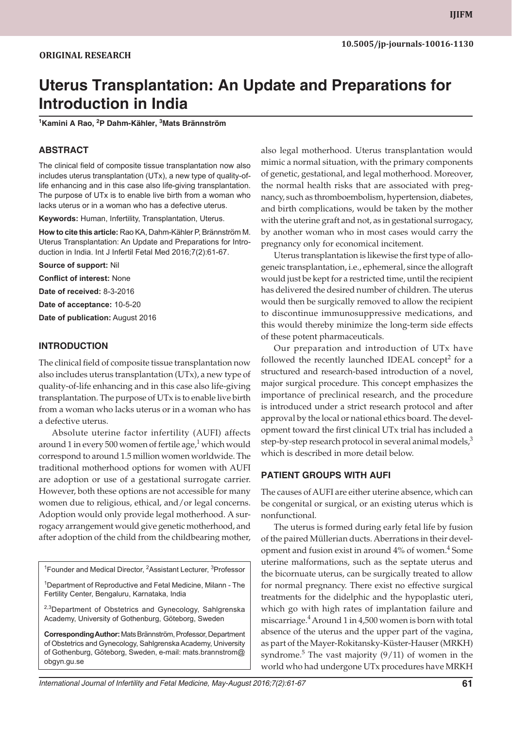# **Uterus Transplantation: An Update and Preparations for Introduction in India**

**<sup>1</sup>Kamini A Rao, 2P Dahm-Kähler, 3Mats Brännström**

#### **ABSTRACT**

The clinical field of composite tissue transplantation now also includes uterus transplantation (UTx), a new type of quality-oflife enhancing and in this case also life-giving transplantation. The purpose of UTx is to enable live birth from a woman who lacks uterus or in a woman who has a defective uterus.

**Keywords:** Human, Infertility, Transplantation, Uterus.

**How to cite this article:** Rao KA, Dahm-Kähler P, Brännström M. Uterus Transplantation: An Update and Preparations for Introduction in India. Int J Infertil Fetal Med 2016;7(2):61-67.

**Source of support:** Nil

**Conflict of interest:** None

**Date of received:** 8-3-2016

**Date of acceptance:** 10-5-20

**Date of publication:** August 2016

#### **INTRODUCTION**

The clinical field of composite tissue transplantation now also includes uterus transplantation (UTx), a new type of quality-of-life enhancing and in this case also life-giving transplantation. The purpose of UTx is to enable live birth from a woman who lacks uterus or in a woman who has a defective uterus.

Absolute uterine factor infertility (AUFI) affects around 1 in every 500 women of fertile age, $^1$  which would correspond to around 1.5 million women worldwide. The traditional motherhood options for women with AUFI are adoption or use of a gestational surrogate carrier. However, both these options are not accessible for many women due to religious, ethical, and/or legal concerns. Adoption would only provide legal motherhood. A surrogacy arrangement would give genetic motherhood, and after adoption of the child from the childbearing mother,

<sup>1</sup>Founder and Medical Director, <sup>2</sup>Assistant Lecturer, <sup>3</sup>Professor

<sup>1</sup>Department of Reproductive and Fetal Medicine, Milann - The Fertility Center, Bengaluru, Karnataka, India

<sup>2,3</sup>Department of Obstetrics and Gynecology, Sahlgrenska Academy, University of Gothenburg, Göteborg, Sweden

**Corresponding Author:** Mats Brännström, Professor, Department of Obstetrics and Gynecology, Sahlgrenska Academy, University of Gothenburg, Göteborg, Sweden, e-mail: mats.brannstrom@ obgyn.gu.se

also legal motherhood. Uterus transplantation would mimic a normal situation, with the primary components of genetic, gestational, and legal motherhood. Moreover, the normal health risks that are associated with pregnancy, such as thromboembolism, hypertension, diabetes, and birth complications, would be taken by the mother with the uterine graft and not, as in gestational surrogacy, by another woman who in most cases would carry the pregnancy only for economical incitement.

Uterus transplantation is likewise the first type of allogeneic transplantation, i.e., ephemeral, since the allograft would just be kept for a restricted time, until the recipient has delivered the desired number of children. The uterus would then be surgically removed to allow the recipient to discontinue immunosuppressive medications, and this would thereby minimize the long-term side effects of these potent pharmaceuticals.

Our preparation and introduction of UTx have followed the recently launched IDEAL concept<sup>2</sup> for a structured and research-based introduction of a novel, major surgical procedure. This concept emphasizes the importance of preclinical research, and the procedure is introduced under a strict research protocol and after approval by the local or national ethics board. The development toward the first clinical UTx trial has included a step-by-step research protocol in several animal models, $3$ which is described in more detail below.

#### **PATIENT GROUPS WITH AUFI**

The causes of AUFI are either uterine absence, which can be congenital or surgical, or an existing uterus which is nonfunctional.

The uterus is formed during early fetal life by fusion of the paired Müllerian ducts. Aberrations in their development and fusion exist in around  $4\%$  of women. $^4$  Some uterine malformations, such as the septate uterus and the bicornuate uterus, can be surgically treated to allow for normal pregnancy. There exist no effective surgical treatments for the didelphic and the hypoplastic uteri, which go with high rates of implantation failure and miscarriage.<sup>4</sup> Around 1 in 4,500 women is born with total absence of the uterus and the upper part of the vagina, as part of the Mayer-Rokitansky-Küster-Hauser (MRKH) syndrome. $5$  The vast majority  $(9/11)$  of women in the world who had undergone UTx procedures have MRKH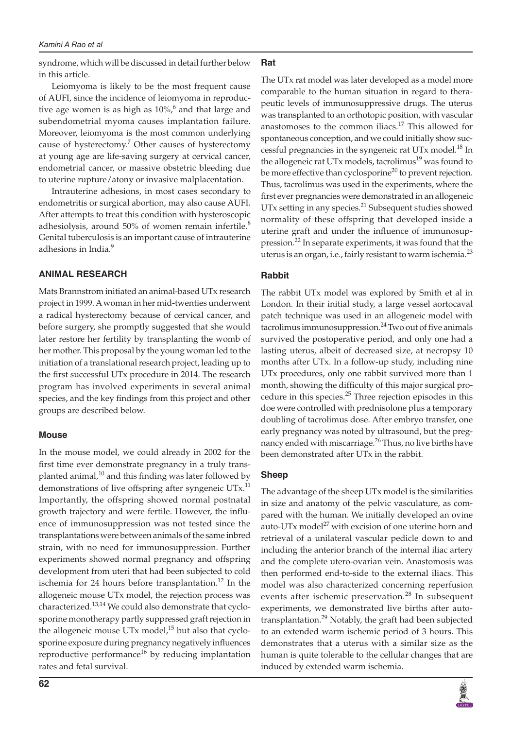syndrome, which will be discussed in detail further below in this article.

Leiomyoma is likely to be the most frequent cause of AUFI, since the incidence of leiomyoma in reproductive age women is as high as  $10\%$ , and that large and subendometrial myoma causes implantation failure. Moreover, leiomyoma is the most common underlying cause of hysterectomy.<sup>7</sup> Other causes of hysterectomy at young age are life-saving surgery at cervical cancer, endometrial cancer, or massive obstetric bleeding due to uterine rupture/atony or invasive malplacentation.

Intrauterine adhesions, in most cases secondary to endometritis or surgical abortion, may also cause AUFI. After attempts to treat this condition with hysteroscopic adhesiolysis, around 50% of women remain infertile. $8$ Genital tuberculosis is an important cause of intrauterine adhesions in India.<sup>9</sup>

#### **ANIMAL RESEARCH**

Mats Brannstrom initiated an animal-based UTx research project in 1999. A woman in her mid-twenties underwent a radical hysterectomy because of cervical cancer, and before surgery, she promptly suggested that she would later restore her fertility by transplanting the womb of her mother. This proposal by the young woman led to the initiation of a translational research project, leading up to the first successful UTx procedure in 2014. The research program has involved experiments in several animal species, and the key findings from this project and other groups are described below.

#### **Mouse**

In the mouse model, we could already in 2002 for the first time ever demonstrate pregnancy in a truly transplanted animal, $10$  and this finding was later followed by demonstrations of live offspring after syngeneic UTx.<sup>11</sup> Importantly, the offspring showed normal postnatal growth trajectory and were fertile. However, the influence of immunosuppression was not tested since the transplantations were between animals of the same inbred strain, with no need for immunosuppression. Further experiments showed normal pregnancy and offspring development from uteri that had been subjected to cold ischemia for 24 hours before transplantation.<sup>12</sup> In the allogeneic mouse UTx model, the rejection process was characterized.<sup>13,14</sup> We could also demonstrate that cyclosporine monotherapy partly suppressed graft rejection in the allogeneic mouse UTx model, $15$  but also that cyclosporine exposure during pregnancy negatively influences reproductive performance<sup>16</sup> by reducing implantation rates and fetal survival.

# **Rat**

The UTx rat model was later developed as a model more comparable to the human situation in regard to therapeutic levels of immunosuppressive drugs. The uterus was transplanted to an orthotopic position, with vascular anastomoses to the common iliacs.<sup>17</sup> This allowed for spontaneous conception, and we could initially show successful pregnancies in the syngeneic rat UTx model.<sup>18</sup> In the allogeneic rat UTx models, tacrolimus<sup>19</sup> was found to be more effective than cyclosporine<sup>20</sup> to prevent rejection. Thus, tacrolimus was used in the experiments, where the first ever pregnancies were demonstrated in an allogeneic UTx setting in any species.<sup>21</sup> Subsequent studies showed normality of these offspring that developed inside a uterine graft and under the influence of immunosuppression.22 In separate experiments, it was found that the uterus is an organ, i.e., fairly resistant to warm ischemia. $^{23}$ 

## **Rabbit**

The rabbit UTx model was explored by Smith et al in London. In their initial study, a large vessel aortocaval patch technique was used in an allogeneic model with tacrolimus immunosuppression.<sup>24</sup> Two out of five animals survived the postoperative period, and only one had a lasting uterus, albeit of decreased size, at necropsy 10 months after UTx. In a follow-up study, including nine UTx procedures, only one rabbit survived more than 1 month, showing the difficulty of this major surgical procedure in this species.<sup>25</sup> Three rejection episodes in this doe were controlled with prednisolone plus a temporary doubling of tacrolimus dose. After embryo transfer, one early pregnancy was noted by ultrasound, but the pregnancy ended with miscarriage.<sup>26</sup> Thus, no live births have been demonstrated after UTx in the rabbit.

## **Sheep**

The advantage of the sheep UTx model is the similarities in size and anatomy of the pelvic vasculature, as compared with the human. We initially developed an ovine auto-UTx model<sup>27</sup> with excision of one uterine horn and retrieval of a unilateral vascular pedicle down to and including the anterior branch of the internal iliac artery and the complete utero-ovarian vein. Anastomosis was then performed end-to-side to the external iliacs. This model was also characterized concerning reperfusion events after ischemic preservation.<sup>28</sup> In subsequent experiments, we demonstrated live births after autotransplantation.<sup>29</sup> Notably, the graft had been subjected to an extended warm ischemic period of 3 hours. This demonstrates that a uterus with a similar size as the human is quite tolerable to the cellular changes that are induced by extended warm ischemia.

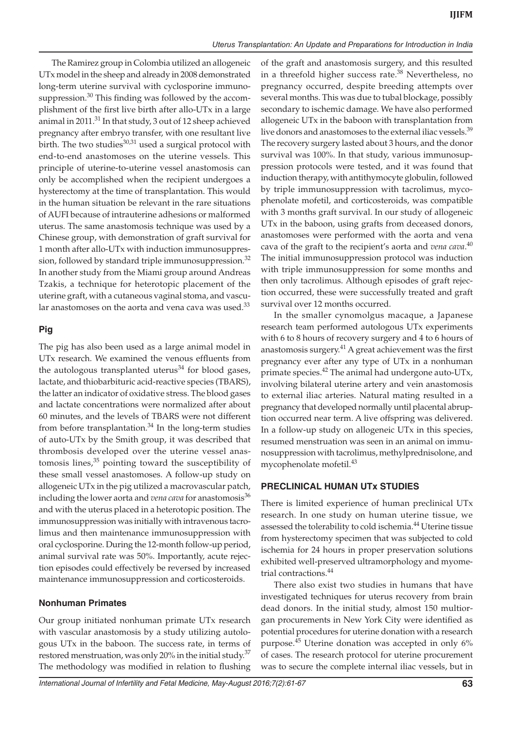The Ramirez group in Colombia utilized an allogeneic UTx model in the sheep and already in 2008 demonstrated long-term uterine survival with cyclosporine immunosuppression. $30$  This finding was followed by the accomplishment of the first live birth after allo-UTx in a large animal in 2011.<sup>31</sup> In that study, 3 out of 12 sheep achieved pregnancy after embryo transfer, with one resultant live birth. The two studies $30,31$  used a surgical protocol with end-to-end anastomoses on the uterine vessels. This principle of uterine-to-uterine vessel anastomosis can only be accomplished when the recipient undergoes a hysterectomy at the time of transplantation. This would in the human situation be relevant in the rare situations of AUFI because of intrauterine adhesions or malformed uterus. The same anastomosis technique was used by a Chinese group, with demonstration of graft survival for 1 month after allo-UTx with induction immunosuppression, followed by standard triple immunosuppression.<sup>32</sup> In another study from the Miami group around Andreas Tzakis, a technique for heterotopic placement of the uterine graft, with a cutaneous vaginal stoma, and vascular anastomoses on the aorta and vena cava was used. $33$ 

#### **Pig**

The pig has also been used as a large animal model in UTx research. We examined the venous effluents from the autologous transplanted uterus<sup>34</sup> for blood gases, lactate, and thiobarbituric acid-reactive species (TBARS), the latter an indicator of oxidative stress. The blood gases and lactate concentrations were normalized after about 60 minutes, and the levels of TBARS were not different from before transplantation. $34$  In the long-term studies of auto-UTx by the Smith group, it was described that thrombosis developed over the uterine vessel anastomosis lines, $35$  pointing toward the susceptibility of these small vessel anastomoses. A follow-up study on allogeneic UTx in the pig utilized a macrovascular patch, including the lower aorta and *vena cava* for anastomosis<sup>36</sup> and with the uterus placed in a heterotopic position. The immunosuppression was initially with intravenous tacrolimus and then maintenance immunosuppression with oral cyclosporine. During the 12-month follow-up period, animal survival rate was 50%. Importantly, acute rejection episodes could effectively be reversed by increased maintenance immunosuppression and corticosteroids.

## **Nonhuman Primates**

Our group initiated nonhuman primate UTx research with vascular anastomosis by a study utilizing autologous UTx in the baboon. The success rate, in terms of restored menstruation, was only 20% in the initial study.<sup>37</sup> The methodology was modified in relation to flushing of the graft and anastomosis surgery, and this resulted in a threefold higher success rate.<sup>38</sup> Nevertheless, no pregnancy occurred, despite breeding attempts over several months. This was due to tubal blockage, possibly secondary to ischemic damage. We have also performed allogeneic UTx in the baboon with transplantation from live donors and anastomoses to the external iliac vessels.<sup>39</sup> The recovery surgery lasted about 3 hours, and the donor survival was 100%. In that study, various immunosuppression protocols were tested, and it was found that induction therapy, with antithymocyte globulin, followed by triple immunosuppression with tacrolimus, mycophenolate mofetil, and corticosteroids, was compatible with 3 months graft survival. In our study of allogeneic UTx in the baboon, using grafts from deceased donors, anastomoses were performed with the aorta and vena cava of the graft to the recipient's aorta and *vena cava*. 40 The initial immunosuppression protocol was induction with triple immunosuppression for some months and then only tacrolimus. Although episodes of graft rejection occurred, these were successfully treated and graft survival over 12 months occurred.

In the smaller cynomolgus macaque, a Japanese research team performed autologous UTx experiments with 6 to 8 hours of recovery surgery and 4 to 6 hours of anastomosis surgery. $41$  A great achievement was the first pregnancy ever after any type of UTx in a nonhuman primate species. $^{42}$  The animal had undergone auto-UTx, involving bilateral uterine artery and vein anastomosis to external iliac arteries. Natural mating resulted in a pregnancy that developed normally until placental abruption occurred near term. A live offspring was delivered. In a follow-up study on allogeneic UTx in this species, resumed menstruation was seen in an animal on immunosuppression with tacrolimus, methylprednisolone, and mycophenolate mofetil.<sup>43</sup>

## **PRECLINICAL HUMAN UTx STUDIES**

There is limited experience of human preclinical UTx research. In one study on human uterine tissue, we assessed the tolerability to cold ischemia.<sup>44</sup> Uterine tissue from hysterectomy specimen that was subjected to cold ischemia for 24 hours in proper preservation solutions exhibited well-preserved ultramorphology and myometrial contractions.<sup>44</sup>

There also exist two studies in humans that have investigated techniques for uterus recovery from brain dead donors. In the initial study, almost 150 multiorgan procurements in New York City were identified as potential procedures for uterine donation with a research purpose.<sup>45</sup> Uterine donation was accepted in only 6% of cases. The research protocol for uterine procurement was to secure the complete internal iliac vessels, but in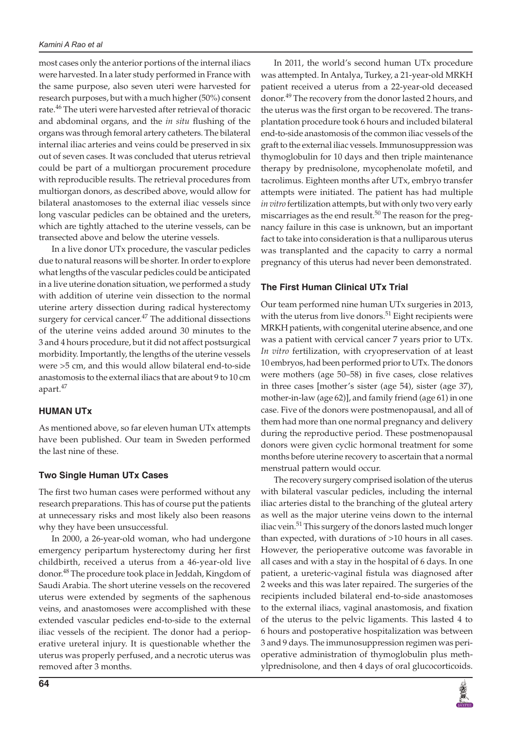most cases only the anterior portions of the internal iliacs were harvested. In a later study performed in France with the same purpose, also seven uteri were harvested for research purposes, but with a much higher (50%) consent rate.<sup>46</sup> The uteri were harvested after retrieval of thoracic and abdominal organs, and the *in situ* flushing of the organs was through femoral artery catheters. The bilateral internal iliac arteries and veins could be preserved in six out of seven cases. It was concluded that uterus retrieval could be part of a multiorgan procurement procedure with reproducible results. The retrieval procedures from multiorgan donors, as described above, would allow for bilateral anastomoses to the external iliac vessels since long vascular pedicles can be obtained and the ureters, which are tightly attached to the uterine vessels, can be transected above and below the uterine vessels.

In a live donor UTx procedure, the vascular pedicles due to natural reasons will be shorter. In order to explore what lengths of the vascular pedicles could be anticipated in a live uterine donation situation, we performed a study with addition of uterine vein dissection to the normal uterine artery dissection during radical hysterectomy surgery for cervical cancer.<sup>47</sup> The additional dissections of the uterine veins added around 30 minutes to the 3 and 4 hours procedure, but it did not affect postsurgical morbidity. Importantly, the lengths of the uterine vessels were >5 cm, and this would allow bilateral end-to-side anastomosis to the external iliacs that are about 9 to 10 cm apart.<sup>47</sup>

# **HUMAN UTx**

As mentioned above, so far eleven human UTx attempts have been published. Our team in Sweden performed the last nine of these.

## **Two Single Human UTx Cases**

The first two human cases were performed without any research preparations. This has of course put the patients at unnecessary risks and most likely also been reasons why they have been unsuccessful.

In 2000, a 26-year-old woman, who had undergone emergency peripartum hysterectomy during her first childbirth, received a uterus from a 46-year-old live donor.<sup>48</sup> The procedure took place in Jeddah, Kingdom of Saudi Arabia. The short uterine vessels on the recovered uterus were extended by segments of the saphenous veins, and anastomoses were accomplished with these extended vascular pedicles end-to-side to the external iliac vessels of the recipient. The donor had a perioperative ureteral injury. It is questionable whether the uterus was properly perfused, and a necrotic uterus was removed after 3 months.

In 2011, the world's second human UTx procedure was attempted. In Antalya, Turkey, a 21-year-old MRKH patient received a uterus from a 22-year-old deceased donor.<sup>49</sup> The recovery from the donor lasted 2 hours, and the uterus was the first organ to be recovered. The transplantation procedure took 6 hours and included bilateral end-to-side anastomosis of the common iliac vessels of the graft to the external iliac vessels. Immunosuppression was thymoglobulin for 10 days and then triple maintenance therapy by prednisolone, mycophenolate mofetil, and tacrolimus. Eighteen months after UTx, embryo transfer attempts were initiated. The patient has had multiple *in vitro* fertilization attempts, but with only two very early miscarriages as the end result.<sup>50</sup> The reason for the pregnancy failure in this case is unknown, but an important fact to take into consideration is that a nulliparous uterus was transplanted and the capacity to carry a normal pregnancy of this uterus had never been demonstrated.

# **The First Human Clinical UTx Trial**

Our team performed nine human UTx surgeries in 2013, with the uterus from live donors. $51$  Eight recipients were MRKH patients, with congenital uterine absence, and one was a patient with cervical cancer 7 years prior to UTx. *In vitro* fertilization, with cryopreservation of at least 10 embryos, had been performed prior to UTx. The donors were mothers (age 50–58) in five cases, close relatives in three cases [mother's sister (age 54), sister (age 37), mother-in-law (age 62)], and family friend (age 61) in one case. Five of the donors were postmenopausal, and all of them had more than one normal pregnancy and delivery during the reproductive period. These postmenopausal donors were given cyclic hormonal treatment for some months before uterine recovery to ascertain that a normal menstrual pattern would occur.

The recovery surgery comprised isolation of the uterus with bilateral vascular pedicles, including the internal iliac arteries distal to the branching of the gluteal artery as well as the major uterine veins down to the internal iliac vein.<sup>51</sup> This surgery of the donors lasted much longer than expected, with durations of >10 hours in all cases. However, the perioperative outcome was favorable in all cases and with a stay in the hospital of 6 days. In one patient, a ureteric-vaginal fistula was diagnosed after 2 weeks and this was later repaired. The surgeries of the recipients included bilateral end-to-side anastomoses to the external iliacs, vaginal anastomosis, and fixation of the uterus to the pelvic ligaments. This lasted 4 to 6 hours and postoperative hospitalization was between 3 and 9 days. The immunosuppression regimen was perioperative administration of thymoglobulin plus methylprednisolone, and then 4 days of oral glucocorticoids.

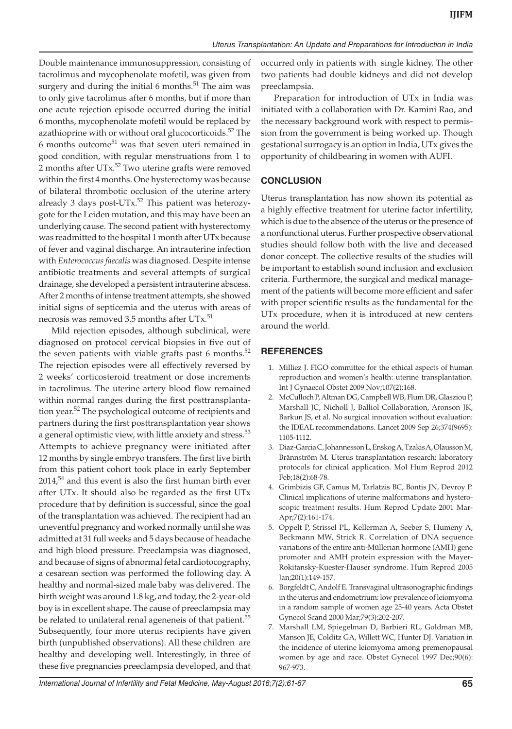Double maintenance immunosuppression, consisting of tacrolimus and mycophenolate mofetil, was given from surgery and during the initial  $6$  months.<sup>51</sup> The aim was to only give tacrolimus after 6 months, but if more than one acute rejection episode occurred during the initial 6 months, mycophenolate mofetil would be replaced by azathioprine with or without oral glucocorticoids.<sup>52</sup> The  $6$  months outcome $51$  was that seven uteri remained in good condition, with regular menstruations from 1 to 2 months after  $UTx$ <sup>52</sup> Two uterine grafts were removed within the first 4 months. One hysterectomy was because of bilateral thrombotic occlusion of the uterine artery already 3 days post-UT $x$ .<sup>52</sup> This patient was heterozygote for the Leiden mutation, and this may have been an underlying cause. The second patient with hysterectomy was readmitted to the hospital 1 month after UTx because of fever and vaginal discharge. An intrauterine infection with *Enterococcus faecalis* was diagnosed. Despite intense antibiotic treatments and several attempts of surgical drainage, she developed a persistent intrauterine abscess. After 2 months of intense treatment attempts, she showed initial signs of septicemia and the uterus with areas of necrosis was removed 3.5 months after UTx.<sup>51</sup>

Mild rejection episodes, although subclinical, were diagnosed on protocol cervical biopsies in five out of the seven patients with viable grafts past 6 months.<sup>52</sup> The rejection episodes were all effectively reversed by 2 weeks' corticosteroid treatment or dose increments in tacrolimus. The uterine artery blood flow remained within normal ranges during the first posttransplantation year.<sup>52</sup> The psychological outcome of recipients and partners during the first posttransplantation year shows a general optimistic view, with little anxiety and stress.<sup>53</sup> Attempts to achieve pregnancy were initiated after 12 months by single embryo transfers. The first live birth from this patient cohort took place in early September  $2014<sup>54</sup>$  and this event is also the first human birth ever after UTx. It should also be regarded as the first UTx procedure that by definition is successful, since the goal of the transplantation was achieved. The recipient had an uneventful pregnancy and worked normally until she was admitted at 31 full weeks and 5 days because of headache and high blood pressure. Preeclampsia was diagnosed, and because of signs of abnormal fetal cardiotocography, a cesarean section was performed the following day. A healthy and normal-sized male baby was delivered. The birth weight was around 1.8 kg, and today, the 2-year-old boy is in excellent shape. The cause of preeclampsia may be related to unilateral renal ageneneis of that patient.<sup>55</sup> Subsequently, four more uterus recipients have given birth (unpublished observations). All these children are healthy and developing well. Interestingly, in three of these five pregnancies preeclampsia developed, and that

occurred only in patients with single kidney. The other two patients had double kidneys and did not develop preeclampsia.

Preparation for introduction of UTx in India was initiated with a collaboration with Dr. Kamini Rao, and the necessary background work with respect to permission from the government is being worked up. Though gestational surrogacy is an option in India, UTx gives the opportunity of childbearing in women with AUFI.

# **CONCLUSION**

Uterus transplantation has now shown its potential as a highly effective treatment for uterine factor infertility, which is due to the absence of the uterus or the presence of a nonfunctional uterus. Further prospective observational studies should follow both with the live and deceased donor concept. The collective results of the studies will be important to establish sound inclusion and exclusion criteria. Furthermore, the surgical and medical management of the patients will become more efficient and safer with proper scientific results as the fundamental for the UTx procedure, when it is introduced at new centers around the world.

# **REFERENCES**

- 1. Milliez J. FIGO committee for the ethical aspects of human reproduction and women's health: uterine transplantation. Int J Gynaecol Obstet 2009 Nov;107(2):168.
- 2. McCulloch P, Altman DG, Campbell WB, Flum DR, Glasziou P, Marshall JC, Nicholl J, Balliol Collaboration, Aronson JK, Barkun JS, et al. No surgical innovation without evaluation: the IDEAL recommendations. Lancet 2009 Sep 26;374(9695): 1105-1112.
- 3. Diaz-Garcia C, Johannesson L, Enskog A, Tzakis A, Olausson M, Brännström M. Uterus transplantation research: laboratory protocols for clinical application. Mol Hum Reprod 2012 Feb;18(2):68-78.
- 4. Grimbizis GF, Camus M, Tarlatzis BC, Bontis JN, Devroy P. Clinical implications of uterine malformations and hysteroscopic treatment results. Hum Reprod Update 2001 Mar-Apr;7(2):161-174.
- 5. Oppelt P, Strissel PL, Kellerman A, Seeber S, Humeny A, Beckmann MW, Strick R. Correlation of DNA sequence variations of the entire anti-Müllerian hormone (AMH) gene promoter and AMH protein expression with the Mayer-Rokitansky-Kuester-Hauser syndrome. Hum Reprod 2005 Jan;20(1):149-157.
- 6. Borgfeldt C, Andolf E. Transvaginal ultrasonographic findings in the uterus and endometrium: low prevalence of leiomyoma in a random sample of women age 25-40 years. Acta Obstet Gynecol Scand 2000 Mar;79(3):202-207.
- 7. Marshall LM, Spiegelman D, Barbieri RL, Goldman MB, Manson JE, Colditz GA, Willett WC, Hunter DJ. Variation in the incidence of uterine leiomyoma among premenopausal women by age and race. Obstet Gynecol 1997 Dec;90(6): 967-973.

International Journal of Infertility and Fetal Medicine, May-August 2016;7(2):61-67 **65**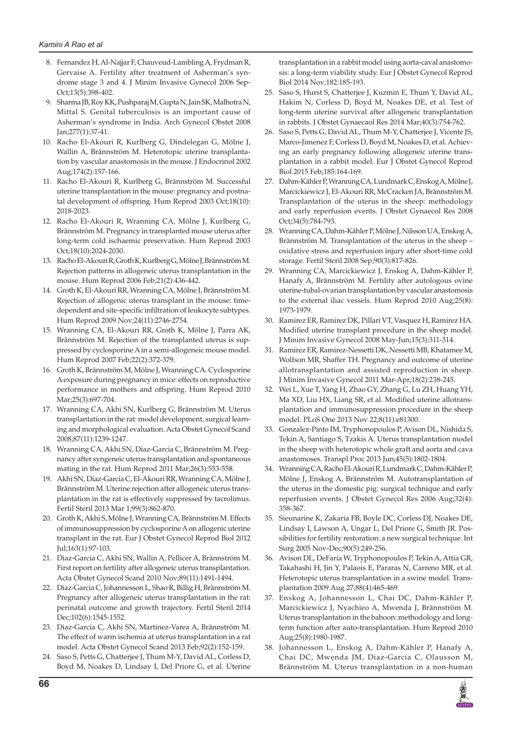- 8. Fernandez H, Al-Najjar F, Chauveud-Lambling A, Frydman R, Gervaise A. Fertility after treatment of Asherman's syndrome stage 3 and 4. J Minim Invasive Gynecol 2006 Sep-Oct;13(5):398-402.
- 9. Sharma JB, Roy KK, Pushparaj M, Gupta N, Jain SK, Malhotra N, Mittal S. Genital tuberculosis is an important cause of Asherman's syndrome in India. Arch Gynecol Obstet 2008 Jan;277(1):37-41.
- 10. Racho El-Akouri R, Kurlberg G, Dindelegan G, Mölne J, Wallin A, Brännström M. Heterotopic uterine transplantation by vascular anastomosis in the mouse. J Endocrinol 2002 Aug;174(2):157-166.
- 11. Racho El-Akouri R, Kurlberg G, Brännström M. Successful uterine transplantation in the mouse: pregnancy and postnatal development of offspring. Hum Reprod 2003 Oct;18(10): 2018-2023.
- 12. Racho El-Akouri R, Wranning CA, Mölne J, Kurlberg G, Brännström M. Pregnancy in transplanted mouse uterus after long-term cold ischaemic preservation. Hum Reprod 2003 Oct;18(10):2024-2030.
- 13. Racho El-Akouri R, Groth K, Kurlberg G, Mölne J, Brännström M. Rejection patterns in allogeneic uterus transplantation in the mouse. Hum Reprod 2006 Feb;21(2):436-442.
- 14. Groth K, El-Akouri RR, Wranning CA, Mölne J, Brännström M. Rejection of allogenic uterus transplant in the mouse: timedependent and site-specific infiltration of leukocyte subtypes. Hum Reprod 2009 Nov;24(11):2746-2754.
- 15. Wranning CA, El-Akouri RR, Groth K, Mölne J, Parra AK, Brännström M. Rejection of the transplanted uterus is suppressed by cyclosporine A in a semi-allogeneic mouse model. Hum Reprod 2007 Feb;22(2):372-379.
- 16. Groth K, Brännström M, Mölne J, Wranning CA. Cyclosporine A exposure during pregnancy in mice: effects on reproductive performance in mothers and offspring. Hum Reprod 2010 Mar;25(3):697-704.
- 17. Wranning CA, Akhi SN, Kurlberg G, Brännström M. Uterus transplantation in the rat: model development, surgical learning and morphological evaluation. Acta Obstet Gynecol Scand 2008;87(11):1239-1247.
- 18. Wranning CA, Akhi SN, Diaz-Garcia C, Brännström M. Pregnancy after syngeneic uterus transplantation and spontaneous mating in the rat. Hum Reprod 2011 Mar;26(3):553-558.
- 19. Akhi SN, Diaz-Garcia C, El-Akouri RR, Wranning CA, Mölne J, Brännström M. Uterine rejection after allogeneic uterus transplantation in the rat is effectively suppressed by tacrolimus. Fertil Steril 2013 Mar 1;99(3):862-870.
- 20. Groth K, Akhi S, Mölne J, Wranning CA, Brännström M. Effects of immunosuppression by cyclosporine A on allogenic uterine transplant in the rat. Eur J Obstet Gynecol Reprod Biol 2012 Jul;163(1):97-103.
- 21. Diaz-Garcia C, Akhi SN, Wallin A, Pellicer A, Brännström M. First report on fertility after allogeneic uterus transplantation. Acta Obstet Gynecol Scand 2010 Nov;89(11):1491-1494.
- 22. Diaz-Garcia C, Johannesson L, Shao R, Billig H, Brännström M. Pregnancy after allogeneic uterus transplantation in the rat: perinatal outcome and growth trajectory. Fertil Steril 2014 Dec;102(6):1545-1552.
- 23. Diaz-Garcia C, Akhi SN, Martinez-Varea A, Brännström M. The effect of warm ischemia at uterus transplantation in a rat model. Acta Obstet Gynecol Scand 2013 Feb;92(2):152-159.
- 24. Saso S, Petts G, Chatterjee J, Thum M-Y, David AL, Corless D, Boyd M, Noakes D, Lindsay I, Del Priore G, et al. Uterine

transplantation in a rabbit model using aorta-caval anastomosis: a long-term viability study. Eur J Obstet Gynecol Reprod Biol 2014 Nov;182:185-193.

- 25. Saso S, Hurst S, Chatterjee J, Kuzmin E, Thum Y, David AL, Hakim N, Corless D, Boyd M, Noakes DE, et al. Test of long-term uterine survival after allogeneic transplantation in rabbits. J Obstet Gynaecaol Res 2014 Mar;40(3):754-762.
- 26. Saso S, Petts G, David AL, Thum M-Y, Chatterjee J, Vicente JS, Marco-Jimenez F, Corless D, Boyd M, Noakes D, et al. Achieving an early pregnancy following allogeneic uterine transplantation in a rabbit model. Eur J Obstet Gynecol Reprod Biol 2015 Feb;185:164-169.
- 27. Dahm-Kähler P, Wranning CA, Lundmark C, Enskog A, Mölne J, Marcickiewicz J, El-Akouri RR, McCracken JA, Brännström M. Transplantation of the uterus in the sheep: methodology and early reperfusion events. J Obstet Gynaecol Res 2008 Oct;34(5):784-793.
- 28. Wranning CA, Dahm-Kähler P, Mölne J, Nilsson UA, Enskog A, Brännström M. Transplantation of the uterus in the sheep – oxidative stress and reperfusion injury after short-time cold storage. Fertil Steril 2008 Sep;90(3):817-826.
- 29. Wranning CA, Marcickiewicz J, Enskog A, Dahm-Kähler P, Hanafy A, Brännström M. Fertility after autologous ovine uterine-tubal-ovarian transplantation by vascular anastomosis to the external iliac vessels. Hum Reprod 2010 Aug;25(8): 1973-1979.
- 30. Ramirez ER, Ramirez DK, Pillari VT, Vasquez H, Ramirez HA. Modified uterine transplant procedure in the sheep model. J Minim Invasive Gynecol 2008 May-Jun;15(3):311-314.
- 31. Ramirez ER, Ramirez-Nessetti DK, Nessetti MB, Khatamee M, Wolfson MR, Shaffer TH. Pregnancy and outcome of uterine allotransplantation and assisted reproduction in sheep. J Minim Invasive Gynecol 2011 Mar-Apr;18(2):238-245.
- 32. Wei L, Xue T, Yang H, Zhao GY, Zhang G, Lu ZH, Huang YH, Ma XD, Liu HX, Liang SR, et al. Modified uterine allotransplantation and immunosuppression procedure in the sheep model. PLoS One 2013 Nov 22;8(11):e81300.
- 33. Gonzalez-Pinto IM, Tryphonopoulos P, Avison DL, Nishida S, Tekin A, Santiago S, Tzakis A. Uterus transplantation model in the sheep with heterotopic whole graft and aorta and cava anastomoses. Transpl Proc 2013 Jun;45(5):1802-1804.
- 34. Wranning CA, Racho El-Akouri R, Lundmark C, Dahm-Kähler P, Mölne J, Enskog A, Brännström M. Autotransplantation of the uterus in the domestic pig: surgical technique and early reperfusion events. J Obstet Gynecol Res 2006 Aug;32(4): 358-367.
- 35. Sieunarine K, Zakaria FB, Boyle DC, Corless DJ, Noakes DE, Lindsay I, Lawson A, Ungar L, Del Priore G, Smith JR. Possibilities for fertility restoration: a new surgical technique. Int Surg 2005 Nov-Dec;90(5):249-256.
- 36. Avison DL, DeFaria W, Tryphonopoulos P, Tekin A, Attia GR, Takahashi H, Jin Y, Palaois E, Pararas N, Carreno MR, et al. Heterotopic uterus transplantation in a swine model. Transplantation 2009 Aug 27;88(4):465-469.
- 37. Enskog A, Johannesson L, Chai DC, Dahm-Kähler P, Marcickiewicz J, Nyachieo A, Mwenda J, Brännström M. Uterus transplantation in the baboon: methodology and longterm function after auto-transplantation. Hum Reprod 2010 Aug;25(8):1980-1987.
- 38. Johannesson L, Enskog A, Dahm-Kähler P, Hanafy A, Chai DC, Mwenda JM, Diaz-Garcia C, Olausson M, Brännström M. Uterus transplantation in a non-human